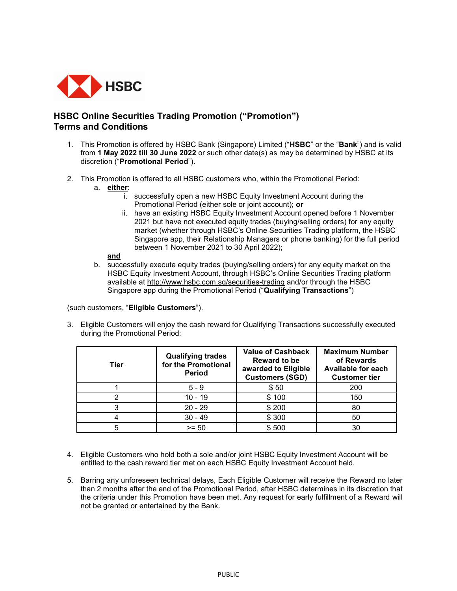

## HSBC Online Securities Trading Promotion ("Promotion") Terms and Conditions

- 1. This Promotion is offered by HSBC Bank (Singapore) Limited ("HSBC" or the "Bank") and is valid from 1 May 2022 till 30 June 2022 or such other date(s) as may be determined by HSBC at its discretion ("Promotional Period").
- 2. This Promotion is offered to all HSBC customers who, within the Promotional Period:
	- a. either:
		- i. successfully open a new HSBC Equity Investment Account during the Promotional Period (either sole or joint account); or
		- ii. have an existing HSBC Equity Investment Account opened before 1 November 2021 but have not executed equity trades (buying/selling orders) for any equity market (whether through HSBC's Online Securities Trading platform, the HSBC Singapore app, their Relationship Managers or phone banking) for the full period between 1 November 2021 to 30 April 2022);

## and

b. successfully execute equity trades (buying/selling orders) for any equity market on the HSBC Equity Investment Account, through HSBC's Online Securities Trading platform available at http://www.hsbc.com.sg/securities-trading and/or through the HSBC Singapore app during the Promotional Period ("Qualifying Transactions")

(such customers, "Eligible Customers").

3. Eligible Customers will enjoy the cash reward for Qualifying Transactions successfully executed during the Promotional Period:

| Tier | <b>Qualifying trades</b><br>for the Promotional<br><b>Period</b> | <b>Value of Cashback</b><br><b>Reward to be</b><br>awarded to Eligible<br><b>Customers (SGD)</b> | <b>Maximum Number</b><br>of Rewards<br><b>Available for each</b><br><b>Customer tier</b> |
|------|------------------------------------------------------------------|--------------------------------------------------------------------------------------------------|------------------------------------------------------------------------------------------|
|      | $5 - 9$                                                          | \$50                                                                                             | 200                                                                                      |
|      | $10 - 19$                                                        | \$100                                                                                            | 150                                                                                      |
| 3    | $20 - 29$                                                        | \$200                                                                                            | 80                                                                                       |
|      | $30 - 49$                                                        | \$300                                                                                            | 50                                                                                       |
|      | $>= 50$                                                          | \$500                                                                                            | 30                                                                                       |

- 4. Eligible Customers who hold both a sole and/or joint HSBC Equity Investment Account will be entitled to the cash reward tier met on each HSBC Equity Investment Account held.
- 5. Barring any unforeseen technical delays, Each Eligible Customer will receive the Reward no later than 2 months after the end of the Promotional Period, after HSBC determines in its discretion that the criteria under this Promotion have been met. Any request for early fulfillment of a Reward will not be granted or entertained by the Bank.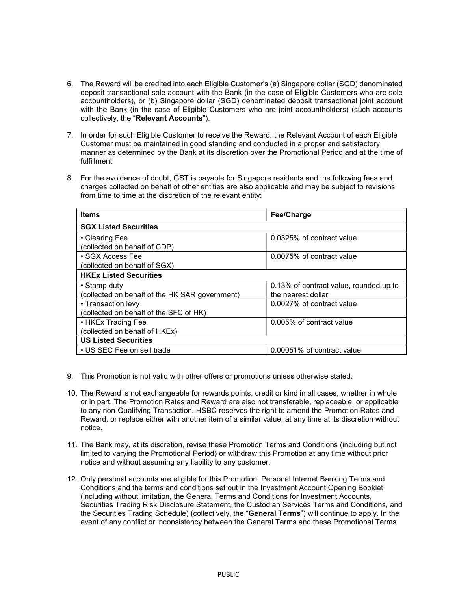- 6. The Reward will be credited into each Eligible Customer's (a) Singapore dollar (SGD) denominated deposit transactional sole account with the Bank (in the case of Eligible Customers who are sole accountholders), or (b) Singapore dollar (SGD) denominated deposit transactional joint account with the Bank (in the case of Eligible Customers who are joint accountholders) (such accounts collectively, the "Relevant Accounts").
- 7. In order for such Eligible Customer to receive the Reward, the Relevant Account of each Eligible Customer must be maintained in good standing and conducted in a proper and satisfactory manner as determined by the Bank at its discretion over the Promotional Period and at the time of fulfillment.
- 8. For the avoidance of doubt, GST is payable for Singapore residents and the following fees and charges collected on behalf of other entities are also applicable and may be subject to revisions from time to time at the discretion of the relevant entity:

| <b>Items</b>                                   | Fee/Charge                             |  |  |
|------------------------------------------------|----------------------------------------|--|--|
| <b>SGX Listed Securities</b>                   |                                        |  |  |
| • Clearing Fee                                 | 0.0325% of contract value              |  |  |
| (collected on behalf of CDP)                   |                                        |  |  |
| • SGX Access Fee                               | 0.0075% of contract value              |  |  |
| (collected on behalf of SGX)                   |                                        |  |  |
| <b>HKEx Listed Securities</b>                  |                                        |  |  |
| • Stamp duty                                   | 0.13% of contract value, rounded up to |  |  |
| (collected on behalf of the HK SAR government) | the nearest dollar                     |  |  |
| • Transaction levy                             | 0.0027% of contract value              |  |  |
| (collected on behalf of the SFC of HK)         |                                        |  |  |
| • HKEx Trading Fee                             | 0.005% of contract value               |  |  |
| (collected on behalf of HKEx)                  |                                        |  |  |
| <b>US Listed Securities</b>                    |                                        |  |  |
| • US SEC Fee on sell trade                     | 0.00051% of contract value             |  |  |

- 9. This Promotion is not valid with other offers or promotions unless otherwise stated.
- 10. The Reward is not exchangeable for rewards points, credit or kind in all cases, whether in whole or in part. The Promotion Rates and Reward are also not transferable, replaceable, or applicable to any non-Qualifying Transaction. HSBC reserves the right to amend the Promotion Rates and Reward, or replace either with another item of a similar value, at any time at its discretion without notice.
- 11. The Bank may, at its discretion, revise these Promotion Terms and Conditions (including but not limited to varying the Promotional Period) or withdraw this Promotion at any time without prior notice and without assuming any liability to any customer.
- 12. Only personal accounts are eligible for this Promotion. Personal Internet Banking Terms and Conditions and the terms and conditions set out in the Investment Account Opening Booklet (including without limitation, the General Terms and Conditions for Investment Accounts, Securities Trading Risk Disclosure Statement, the Custodian Services Terms and Conditions, and the Securities Trading Schedule) (collectively, the "General Terms") will continue to apply. In the event of any conflict or inconsistency between the General Terms and these Promotional Terms